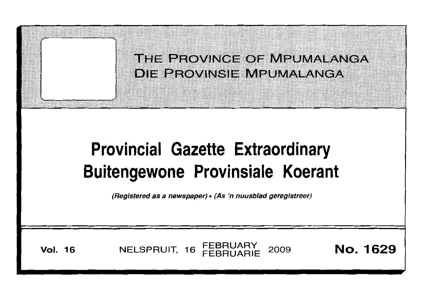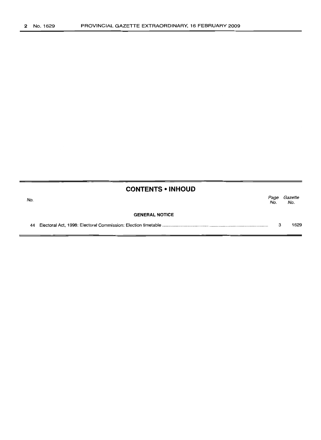| <b>CONTENTS • INHOUD</b> |  |
|--------------------------|--|
|--------------------------|--|

| No. |                       | Page<br>No. | Gazette<br>No. |
|-----|-----------------------|-------------|----------------|
|     | <b>GENERAL NOTICE</b> |             |                |
|     |                       |             | 1629           |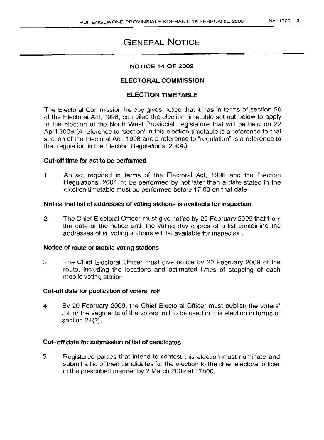# GENERAL NOTICE

# NOTICE 44 OF 2009

# ELECTORAL COMMISSION

# ELECTION TIMETABLE

The Electoral Commission hereby gives notice that it has in terms of section 20 of the Electoral Act, 1998, compiled the election timetable set out below to apply to the election of the North West Provincial Legislature that will be held on 22 April 2009 (A reference to 'section' in this election timetable is a reference to that section of the Electoral Act, 1998 and a reference to "regulation" is a reference to that regulation in the Election Regulations, 2004.)

## Cut-off time for act to be performed

1 An act required in terms of the Electoral Act, 1998 and the Election Regulations, 2004, to be performed by not later than a date stated in the election timetable must be performed before 17:00 on that date.

## Notice that list of addresses of voting stations is available for inspection.

2 The Chief Electoral Officer must give notice by 20 February 2009 that from the date of the notice until the voting day copies of a list containing the addresses of all voting stations will be available for inspection.

## Notice of route of mobile voting stations

3 The Chief Electoral Officer must give notice by 20 February 2009 of the route, including the locations and estimated times of stopping of each mobile voting station.

# Cut-off date for publication of voters' roll

4 By 20 February 2009, the Chief Electoral Officer must publish the voters' roll or the segments of the voters' roll to be used in this election in terms of section 24(2).

# Cut-off date for submission of list of candidates

5 Registered parties that intend to contest this election must nominate and submit a list of their candidates for the election to the chief electoral officer in the prescribed manner by 2 March 2009 at 17hOO.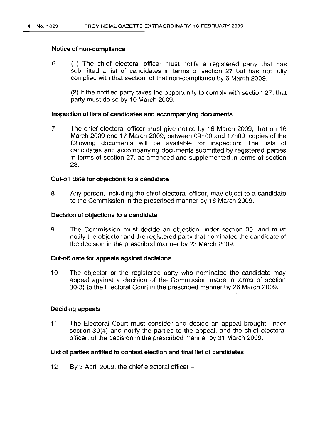#### Notice of non-compliance

6 (1) The chief electoral officer must notify a registered party that has submitted a list of candidates in terms of section 27 but has not fully complied with that section, of that non-compliance by 6 March 2009.

(2) If the notified party takes the opportunity to comply with section 27, that party must do so by 10 March 2009.

## Inspection of lists of candidates and accompanying documents

7 The chief electoral officer must give notice by 16 March 2009, that on 16 March 2009 and 17 March 2009, between 09hOO and 17hOO, copies of the following documents will be available for inspection: The lists of candidates and accompanying documents submitted by registered parties in terms of section 27, as amended and supplemented in terms of section 28.

## Cut-off date for objections to a candidate

8 Any person, including the chief electoral officer, may object to a candidate to the Commission in the prescribed manner by 18 March 2009.

## Decision of objections to a candidate

9 The Commission must decide an objection under section 30, and must notify the objector and the registered party that nominated the candidate of the decision in the prescribed manner by 23 March 2009.

#### Cut-off date for appeals against decisions

10 The objector or the registered party who nominated the candidate may appeal against a decision of the Commission made in terms of section 30(3) to the Electoral Court in the prescribed manner by 26 March 2009.

# Deciding appeals

11 The Electoral Court must consider and decide an appeal brought under section 30(4) and notify the parties to the appeal, and the chief electoral officer, of the decision in the prescribed manner by 31 March 2009.

#### List of parties entitled to contest election and final list of candidates

12 By 3 April 2009, the chief electoral officer  $-$